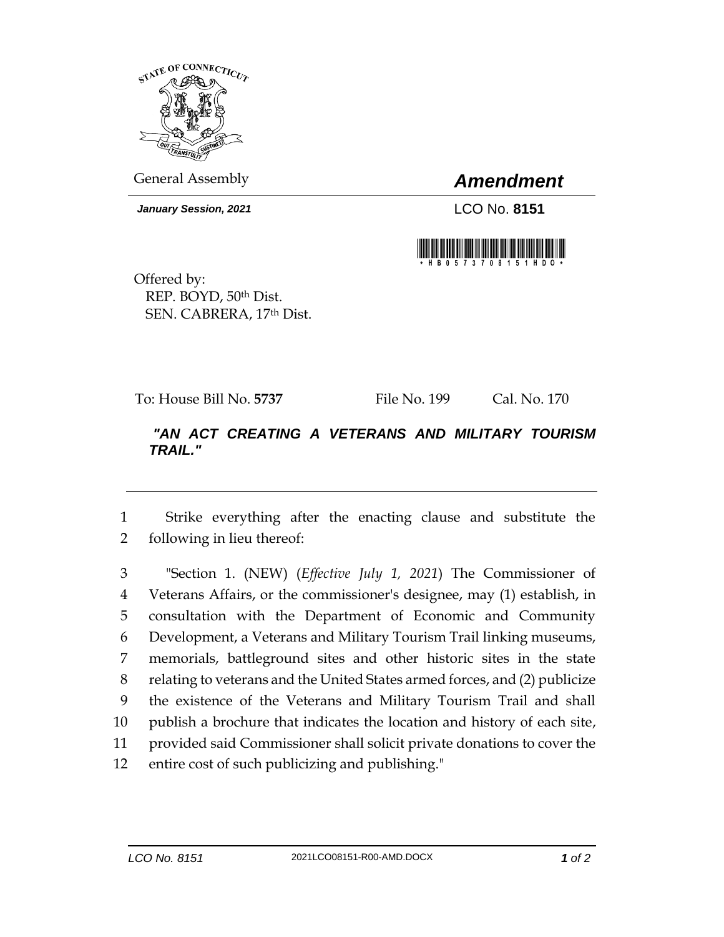

General Assembly *Amendment*

*January Session, 2021* LCO No. **8151**



Offered by: REP. BOYD, 50th Dist. SEN. CABRERA, 17th Dist.

To: House Bill No. **5737** File No. 199 Cal. No. 170

## *"AN ACT CREATING A VETERANS AND MILITARY TOURISM TRAIL."*

1 Strike everything after the enacting clause and substitute the 2 following in lieu thereof:

 "Section 1. (NEW) (*Effective July 1, 2021*) The Commissioner of Veterans Affairs, or the commissioner's designee, may (1) establish, in consultation with the Department of Economic and Community Development, a Veterans and Military Tourism Trail linking museums, memorials, battleground sites and other historic sites in the state relating to veterans and the United States armed forces, and (2) publicize the existence of the Veterans and Military Tourism Trail and shall publish a brochure that indicates the location and history of each site, provided said Commissioner shall solicit private donations to cover the entire cost of such publicizing and publishing."